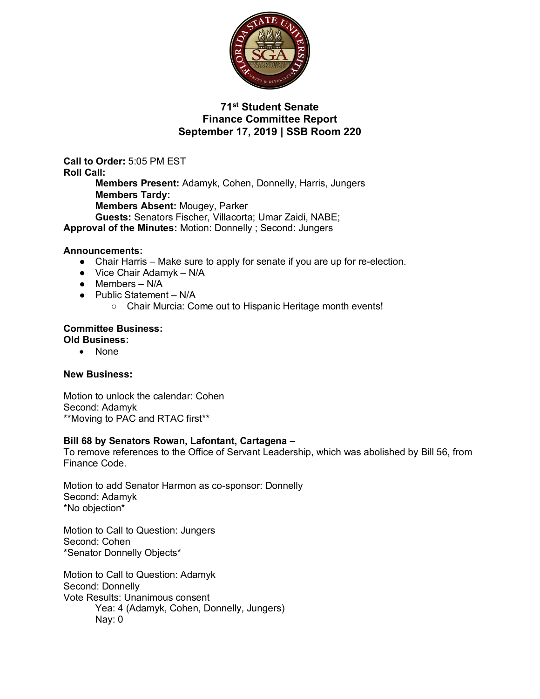

# **71st Student Senate Finance Committee Report September 17, 2019 | SSB Room 220**

**Call to Order:** 5:05 PM EST **Roll Call: Members Present:** Adamyk, Cohen, Donnelly, Harris, Jungers **Members Tardy: Members Absent:** Mougey, Parker **Guests:** Senators Fischer, Villacorta; Umar Zaidi, NABE; **Approval of the Minutes:** Motion: Donnelly ; Second: Jungers

### **Announcements:**

- Chair Harris Make sure to apply for senate if you are up for re-election.
- $\bullet$  Vice Chair Adamyk N/A
- $\bullet$  Members N/A
- Public Statement N/A
	- Chair Murcia: Come out to Hispanic Heritage month events!

#### **Committee Business: Old Business:**

• None

## **New Business:**

Motion to unlock the calendar: Cohen Second: Adamyk \*\*Moving to PAC and RTAC first\*\*

### **Bill 68 by Senators Rowan, Lafontant, Cartagena –**

To remove references to the Office of Servant Leadership, which was abolished by Bill 56, from Finance Code.

Motion to add Senator Harmon as co-sponsor: Donnelly Second: Adamyk \*No objection\*

Motion to Call to Question: Jungers Second: Cohen \*Senator Donnelly Objects\*

Motion to Call to Question: Adamyk Second: Donnelly Vote Results: Unanimous consent Yea: 4 (Adamyk, Cohen, Donnelly, Jungers) Nay: 0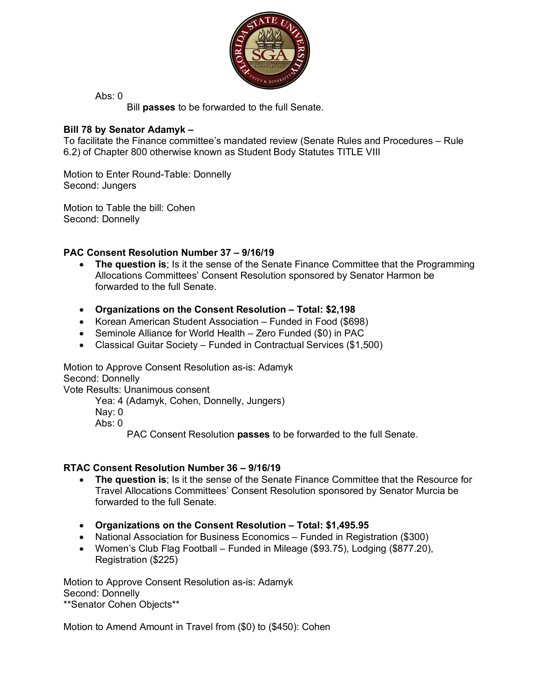

Abs:  $0$ 

Bill **passes** to be forwarded to the full Senate.

# **Bill 78 by Senator Adamyk –**

To facilitate the Finance committee's mandated review (Senate Rules and Procedures – Rule 6.2) of Chapter 800 otherwise known as Student Body Statutes TITLE VIII

Motion to Enter Round-Table: Donnelly Second: Jungers

Motion to Table the bill: Cohen Second: Donnelly

# **PAC Consent Resolution Number 37 – 9/16/19**

- **The question is**; Is it the sense of the Senate Finance Committee that the Programming Allocations Committees' Consent Resolution sponsored by Senator Harmon be forwarded to the full Senate.
- **Organizations on the Consent Resolution – Total: \$2,198**
- Korean American Student Association Funded in Food (\$698)
- Seminole Alliance for World Health Zero Funded (\$0) in PAC
- Classical Guitar Society Funded in Contractual Services (\$1,500)

Motion to Approve Consent Resolution as-is: Adamyk Second: Donnelly Vote Results: Unanimous consent

Yea: 4 (Adamyk, Cohen, Donnelly, Jungers)

Nay: 0

Abs:  $0$ 

PAC Consent Resolution **passes** to be forwarded to the full Senate.

## **RTAC Consent Resolution Number 36 – 9/16/19**

- **The question is**; Is it the sense of the Senate Finance Committee that the Resource for Travel Allocations Committees' Consent Resolution sponsored by Senator Murcia be forwarded to the full Senate.
- **Organizations on the Consent Resolution – Total: \$1,495.95**
- National Association for Business Economics Funded in Registration (\$300)
- Women's Club Flag Football Funded in Mileage (\$93.75), Lodging (\$877.20), Registration (\$225)

Motion to Approve Consent Resolution as-is: Adamyk Second: Donnelly \*\*Senator Cohen Objects\*\*

Motion to Amend Amount in Travel from (\$0) to (\$450): Cohen